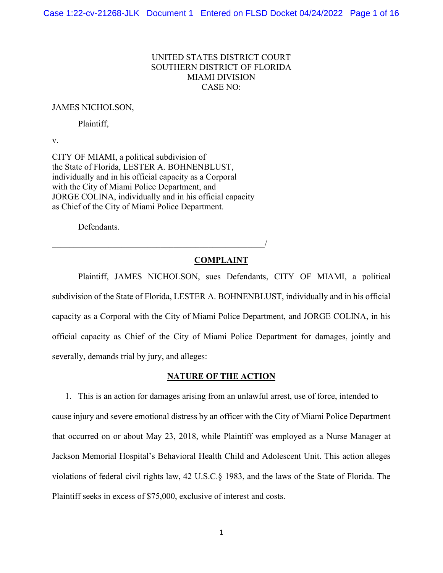# UNITED STATES DISTRICT COURT SOUTHERN DISTRICT OF FLORIDA MIAMI DIVISION CASE NO:

### JAMES NICHOLSON,

Plaintiff,

v.

CITY OF MIAMI, a political subdivision of the State of Florida, LESTER A. BOHNENBLUST, individually and in his official capacity as a Corporal with the City of Miami Police Department, and JORGE COLINA, individually and in his official capacity as Chief of the City of Miami Police Department.

 $\overline{\phantom{a}}$ 

Defendants.

## **COMPLAINT**

Plaintiff, JAMES NICHOLSON, sues Defendants, CITY OF MIAMI, a political subdivision of the State of Florida, LESTER A. BOHNENBLUST, individually and in his official capacity as a Corporal with the City of Miami Police Department, and JORGE COLINA, in his official capacity as Chief of the City of Miami Police Department for damages, jointly and severally, demands trial by jury, and alleges:

### **NATURE OF THE ACTION**

1. This is an action for damages arising from an unlawful arrest, use of force, intended to cause injury and severe emotional distress by an officer with the City of Miami Police Department that occurred on or about May 23, 2018, while Plaintiff was employed as a Nurse Manager at Jackson Memorial Hospital's Behavioral Health Child and Adolescent Unit. This action alleges violations of federal civil rights law, 42 U.S.C.§ 1983, and the laws of the State of Florida. The Plaintiff seeks in excess of \$75,000, exclusive of interest and costs.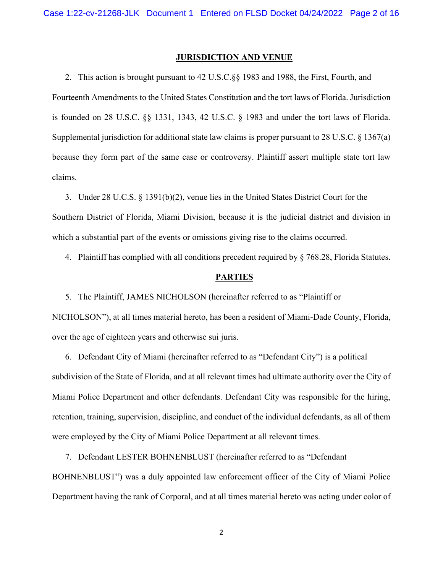#### **JURISDICTION AND VENUE**

2. This action is brought pursuant to 42 U.S.C.§§ 1983 and 1988, the First, Fourth, and Fourteenth Amendments to the United States Constitution and the tort laws of Florida. Jurisdiction is founded on 28 U.S.C. §§ 1331, 1343, 42 U.S.C. § 1983 and under the tort laws of Florida. Supplemental jurisdiction for additional state law claims is proper pursuant to 28 U.S.C. § 1367(a) because they form part of the same case or controversy. Plaintiff assert multiple state tort law claims.

3. Under 28 U.C.S. § 1391(b)(2), venue lies in the United States District Court for the Southern District of Florida, Miami Division, because it is the judicial district and division in which a substantial part of the events or omissions giving rise to the claims occurred.

4. Plaintiff has complied with all conditions precedent required by  $\S$  768.28, Florida Statutes.

#### **PARTIES**

5. The Plaintiff, JAMES NICHOLSON (hereinafter referred to as "Plaintiff or NICHOLSON"), at all times material hereto, has been a resident of Miami-Dade County, Florida, over the age of eighteen years and otherwise sui juris.

6. Defendant City of Miami (hereinafter referred to as "Defendant City") is a political subdivision of the State of Florida, and at all relevant times had ultimate authority over the City of Miami Police Department and other defendants. Defendant City was responsible for the hiring, retention, training, supervision, discipline, and conduct of the individual defendants, as all of them were employed by the City of Miami Police Department at all relevant times.

7. Defendant LESTER BOHNENBLUST (hereinafter referred to as "Defendant BOHNENBLUST") was a duly appointed law enforcement officer of the City of Miami Police Department having the rank of Corporal, and at all times material hereto was acting under color of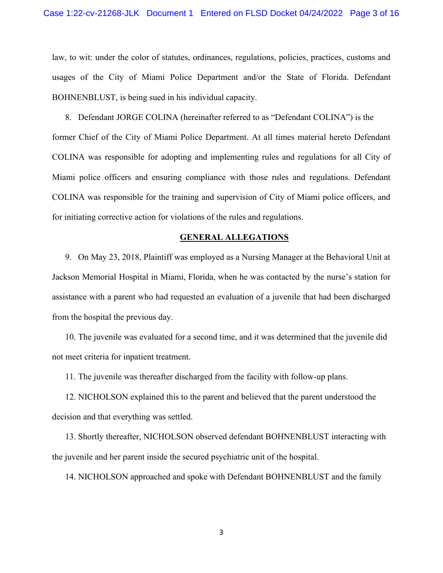law, to wit: under the color of statutes, ordinances, regulations, policies, practices, customs and usages of the City of Miami Police Department and/or the State of Florida. Defendant BOHNENBLUST, is being sued in his individual capacity.

8. Defendant JORGE COLINA (hereinafter referred to as "Defendant COLINA") is the former Chief of the City of Miami Police Department. At all times material hereto Defendant COLINA was responsible for adopting and implementing rules and regulations for all City of Miami police officers and ensuring compliance with those rules and regulations. Defendant COLINA was responsible for the training and supervision of City of Miami police officers, and for initiating corrective action for violations of the rules and regulations.

#### **GENERAL ALLEGATIONS**

9. On May 23, 2018, Plaintiff was employed as a Nursing Manager at the Behavioral Unit at Jackson Memorial Hospital in Miami, Florida, when he was contacted by the nurse's station for assistance with a parent who had requested an evaluation of a juvenile that had been discharged from the hospital the previous day.

10. The juvenile was evaluated for a second time, and it was determined that the juvenile did not meet criteria for inpatient treatment.

11. The juvenile was thereafter discharged from the facility with follow-up plans.

12. NICHOLSON explained this to the parent and believed that the parent understood the decision and that everything was settled.

13. Shortly thereafter, NICHOLSON observed defendant BOHNENBLUST interacting with the juvenile and her parent inside the secured psychiatric unit of the hospital.

14. NICHOLSON approached and spoke with Defendant BOHNENBLUST and the family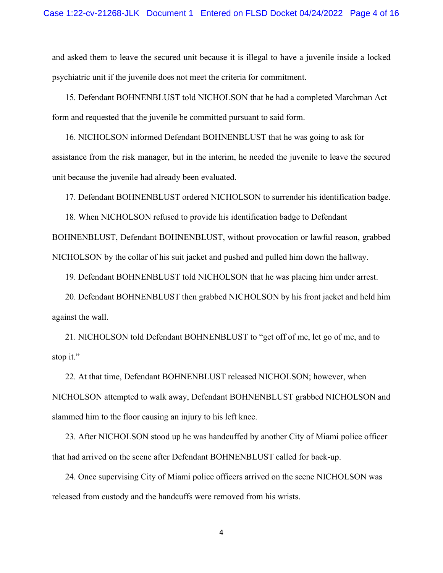and asked them to leave the secured unit because it is illegal to have a juvenile inside a locked psychiatric unit if the juvenile does not meet the criteria for commitment.

15. Defendant BOHNENBLUST told NICHOLSON that he had a completed Marchman Act form and requested that the juvenile be committed pursuant to said form.

16. NICHOLSON informed Defendant BOHNENBLUST that he was going to ask for assistance from the risk manager, but in the interim, he needed the juvenile to leave the secured unit because the juvenile had already been evaluated.

17. Defendant BOHNENBLUST ordered NICHOLSON to surrender his identification badge.

18. When NICHOLSON refused to provide his identification badge to Defendant

BOHNENBLUST, Defendant BOHNENBLUST, without provocation or lawful reason, grabbed NICHOLSON by the collar of his suit jacket and pushed and pulled him down the hallway.

19. Defendant BOHNENBLUST told NICHOLSON that he was placing him under arrest.

20. Defendant BOHNENBLUST then grabbed NICHOLSON by his front jacket and held him against the wall.

21. NICHOLSON told Defendant BOHNENBLUST to "get off of me, let go of me, and to stop it."

22. At that time, Defendant BOHNENBLUST released NICHOLSON; however, when NICHOLSON attempted to walk away, Defendant BOHNENBLUST grabbed NICHOLSON and slammed him to the floor causing an injury to his left knee.

23. After NICHOLSON stood up he was handcuffed by another City of Miami police officer that had arrived on the scene after Defendant BOHNENBLUST called for back-up.

24. Once supervising City of Miami police officers arrived on the scene NICHOLSON was released from custody and the handcuffs were removed from his wrists.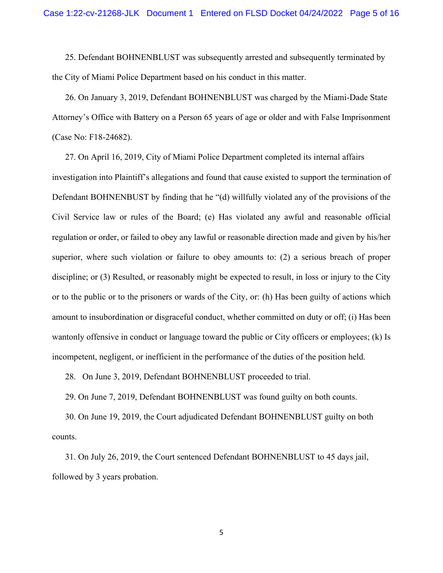25. Defendant BOHNENBLUST was subsequently arrested and subsequently terminated by the City of Miami Police Department based on his conduct in this matter.

26. On January 3, 2019, Defendant BOHNENBLUST was charged by the Miami-Dade State Attorney's Office with Battery on a Person 65 years of age or older and with False Imprisonment (Case No: F18-24682).

27. On April 16, 2019, City of Miami Police Department completed its internal affairs

investigation into Plaintiff's allegations and found that cause existed to support the termination of Defendant BOHNENBUST by finding that he "(d) willfully violated any of the provisions of the Civil Service law or rules of the Board; (e) Has violated any awful and reasonable official regulation or order, or failed to obey any lawful or reasonable direction made and given by his/her superior, where such violation or failure to obey amounts to: (2) a serious breach of proper discipline; or (3) Resulted, or reasonably might be expected to result, in loss or injury to the City or to the public or to the prisoners or wards of the City, or: (h) Has been guilty of actions which amount to insubordination or disgraceful conduct, whether committed on duty or off; (i) Has been wantonly offensive in conduct or language toward the public or City officers or employees; (k) Is incompetent, negligent, or inefficient in the performance of the duties of the position held.

28. On June 3, 2019, Defendant BOHNENBLUST proceeded to trial.

29. On June 7, 2019, Defendant BOHNENBLUST was found guilty on both counts.

30. On June 19, 2019, the Court adjudicated Defendant BOHNENBLUST guilty on both counts.

31. On July 26, 2019, the Court sentenced Defendant BOHNENBLUST to 45 days jail, followed by 3 years probation.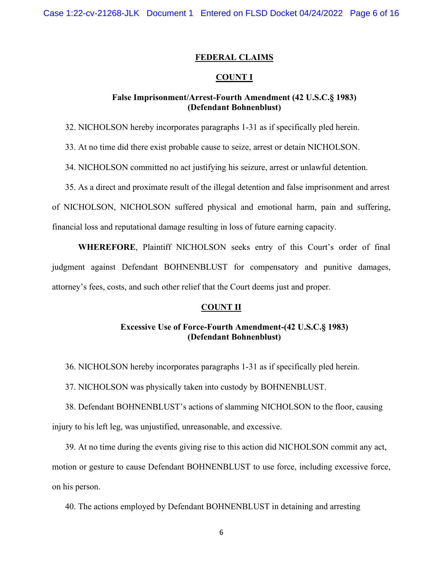### **FEDERAL CLAIMS**

## **COUNT I**

## **False Imprisonment/Arrest-Fourth Amendment (42 U.S.C.§ 1983) (Defendant Bohnenblust)**

32. NICHOLSON hereby incorporates paragraphs 1-31 as if specifically pled herein.

33. At no time did there exist probable cause to seize, arrest or detain NICHOLSON.

34. NICHOLSON committed no act justifying his seizure, arrest or unlawful detention.

35. As a direct and proximate result of the illegal detention and false imprisonment and arrest

of NICHOLSON, NICHOLSON suffered physical and emotional harm, pain and suffering,

financial loss and reputational damage resulting in loss of future earning capacity.

**WHEREFORE**, Plaintiff NICHOLSON seeks entry of this Court's order of final judgment against Defendant BOHNENBLUST for compensatory and punitive damages, attorney's fees, costs, and such other relief that the Court deems just and proper.

## **COUNT II**

## **Excessive Use of Force-Fourth Amendment-(42 U.S.C.§ 1983) (Defendant Bohnenblust)**

36. NICHOLSON hereby incorporates paragraphs 1-31 as if specifically pled herein.

37. NICHOLSON was physically taken into custody by BOHNENBLUST.

38. Defendant BOHNENBLUST's actions of slamming NICHOLSON to the floor, causing injury to his left leg, was unjustified, unreasonable, and excessive.

39. At no time during the events giving rise to this action did NICHOLSON commit any act, motion or gesture to cause Defendant BOHNENBLUST to use force, including excessive force, on his person.

40. The actions employed by Defendant BOHNENBLUST in detaining and arresting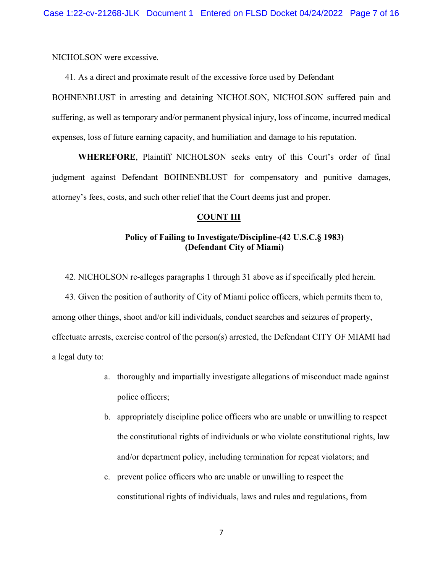NICHOLSON were excessive.

41. As a direct and proximate result of the excessive force used by Defendant

BOHNENBLUST in arresting and detaining NICHOLSON, NICHOLSON suffered pain and suffering, as well as temporary and/or permanent physical injury, loss of income, incurred medical expenses, loss of future earning capacity, and humiliation and damage to his reputation.

**WHEREFORE**, Plaintiff NICHOLSON seeks entry of this Court's order of final judgment against Defendant BOHNENBLUST for compensatory and punitive damages, attorney's fees, costs, and such other relief that the Court deems just and proper.

### **COUNT III**

# **Policy of Failing to Investigate/Discipline-(42 U.S.C.§ 1983) (Defendant City of Miami)**

42. NICHOLSON re-alleges paragraphs 1 through 31 above as if specifically pled herein.

43. Given the position of authority of City of Miami police officers, which permits them to, among other things, shoot and/or kill individuals, conduct searches and seizures of property, effectuate arrests, exercise control of the person(s) arrested, the Defendant CITY OF MIAMI had a legal duty to:

- a. thoroughly and impartially investigate allegations of misconduct made against police officers;
- b. appropriately discipline police officers who are unable or unwilling to respect the constitutional rights of individuals or who violate constitutional rights, law and/or department policy, including termination for repeat violators; and
- c. prevent police officers who are unable or unwilling to respect the constitutional rights of individuals, laws and rules and regulations, from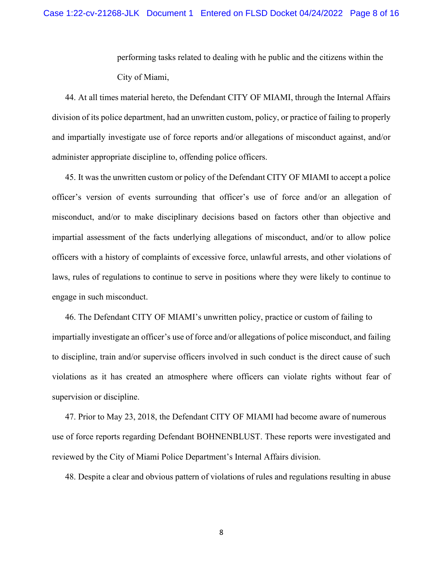performing tasks related to dealing with he public and the citizens within the City of Miami,

44. At all times material hereto, the Defendant CITY OF MIAMI, through the Internal Affairs division of its police department, had an unwritten custom, policy, or practice of failing to properly and impartially investigate use of force reports and/or allegations of misconduct against, and/or administer appropriate discipline to, offending police officers.

45. It was the unwritten custom or policy of the Defendant CITY OF MIAMI to accept a police officer's version of events surrounding that officer's use of force and/or an allegation of misconduct, and/or to make disciplinary decisions based on factors other than objective and impartial assessment of the facts underlying allegations of misconduct, and/or to allow police officers with a history of complaints of excessive force, unlawful arrests, and other violations of laws, rules of regulations to continue to serve in positions where they were likely to continue to engage in such misconduct.

46. The Defendant CITY OF MIAMI's unwritten policy, practice or custom of failing to impartially investigate an officer's use of force and/or allegations of police misconduct, and failing to discipline, train and/or supervise officers involved in such conduct is the direct cause of such violations as it has created an atmosphere where officers can violate rights without fear of supervision or discipline.

47. Prior to May 23, 2018, the Defendant CITY OF MIAMI had become aware of numerous use of force reports regarding Defendant BOHNENBLUST. These reports were investigated and reviewed by the City of Miami Police Department's Internal Affairs division.

48. Despite a clear and obvious pattern of violations of rules and regulations resulting in abuse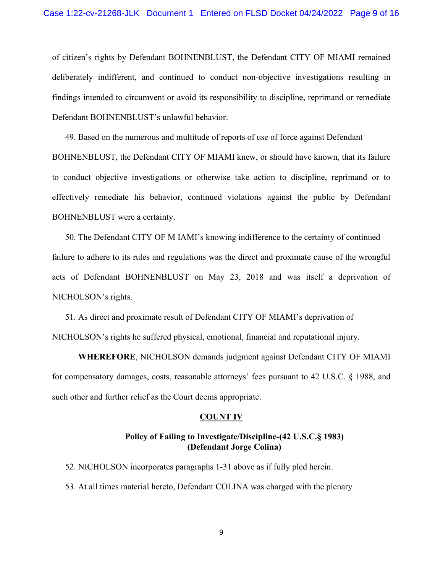of citizen's rights by Defendant BOHNENBLUST, the Defendant CITY OF MIAMI remained deliberately indifferent, and continued to conduct non-objective investigations resulting in findings intended to circumvent or avoid its responsibility to discipline, reprimand or remediate Defendant BOHNENBLUST's unlawful behavior.

49. Based on the numerous and multitude of reports of use of force against Defendant BOHNENBLUST, the Defendant CITY OF MIAMI knew, or should have known, that its failure to conduct objective investigations or otherwise take action to discipline, reprimand or to effectively remediate his behavior, continued violations against the public by Defendant BOHNENBLUST were a certainty.

50. The Defendant CITY OF M IAMI's knowing indifference to the certainty of continued failure to adhere to its rules and regulations was the direct and proximate cause of the wrongful acts of Defendant BOHNENBLUST on May 23, 2018 and was itself a deprivation of NICHOLSON's rights.

51. As direct and proximate result of Defendant CITY OF MIAMI's deprivation of NICHOLSON's rights he suffered physical, emotional, financial and reputational injury.

**WHEREFORE**, NICHOLSON demands judgment against Defendant CITY OF MIAMI for compensatory damages, costs, reasonable attorneys' fees pursuant to 42 U.S.C. § 1988, and such other and further relief as the Court deems appropriate.

#### **COUNT IV**

## **Policy of Failing to Investigate/Discipline-(42 U.S.C.§ 1983) (Defendant Jorge Colina)**

52. NICHOLSON incorporates paragraphs 1-31 above as if fully pled herein. 53. At all times material hereto, Defendant COLINA was charged with the plenary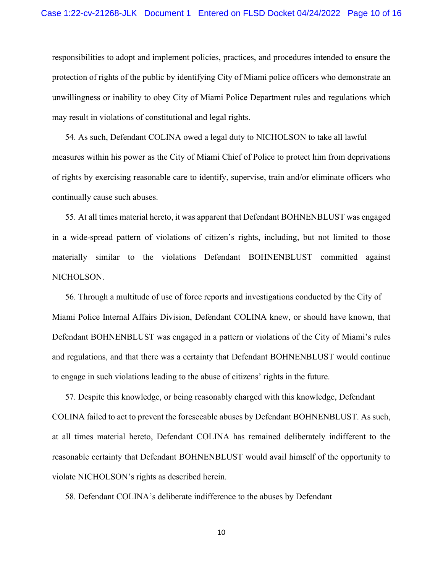responsibilities to adopt and implement policies, practices, and procedures intended to ensure the protection of rights of the public by identifying City of Miami police officers who demonstrate an unwillingness or inability to obey City of Miami Police Department rules and regulations which may result in violations of constitutional and legal rights.

54. As such, Defendant COLINA owed a legal duty to NICHOLSON to take all lawful measures within his power as the City of Miami Chief of Police to protect him from deprivations of rights by exercising reasonable care to identify, supervise, train and/or eliminate officers who continually cause such abuses.

55. At all times material hereto, it was apparent that Defendant BOHNENBLUST was engaged in a wide-spread pattern of violations of citizen's rights, including, but not limited to those materially similar to the violations Defendant BOHNENBLUST committed against NICHOLSON.

56. Through a multitude of use of force reports and investigations conducted by the City of Miami Police Internal Affairs Division, Defendant COLINA knew, or should have known, that Defendant BOHNENBLUST was engaged in a pattern or violations of the City of Miami's rules and regulations, and that there was a certainty that Defendant BOHNENBLUST would continue to engage in such violations leading to the abuse of citizens' rights in the future.

57. Despite this knowledge, or being reasonably charged with this knowledge, Defendant COLINA failed to act to prevent the foreseeable abuses by Defendant BOHNENBLUST. As such, at all times material hereto, Defendant COLINA has remained deliberately indifferent to the reasonable certainty that Defendant BOHNENBLUST would avail himself of the opportunity to violate NICHOLSON's rights as described herein.

58. Defendant COLINA's deliberate indifference to the abuses by Defendant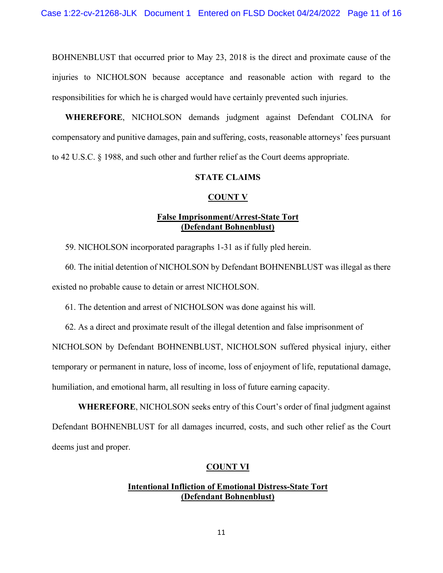BOHNENBLUST that occurred prior to May 23, 2018 is the direct and proximate cause of the injuries to NICHOLSON because acceptance and reasonable action with regard to the responsibilities for which he is charged would have certainly prevented such injuries.

**WHEREFORE**, NICHOLSON demands judgment against Defendant COLINA for compensatory and punitive damages, pain and suffering, costs, reasonable attorneys' fees pursuant to 42 U.S.C. § 1988, and such other and further relief as the Court deems appropriate.

### **STATE CLAIMS**

### **COUNT V**

## **False Imprisonment/Arrest-State Tort (Defendant Bohnenblust)**

59. NICHOLSON incorporated paragraphs 1-31 as if fully pled herein.

60. The initial detention of NICHOLSON by Defendant BOHNENBLUST was illegal as there existed no probable cause to detain or arrest NICHOLSON.

61. The detention and arrest of NICHOLSON was done against his will.

62. As a direct and proximate result of the illegal detention and false imprisonment of

NICHOLSON by Defendant BOHNENBLUST, NICHOLSON suffered physical injury, either temporary or permanent in nature, loss of income, loss of enjoyment of life, reputational damage, humiliation, and emotional harm, all resulting in loss of future earning capacity.

**WHEREFORE**, NICHOLSON seeks entry of this Court's order of final judgment against Defendant BOHNENBLUST for all damages incurred, costs, and such other relief as the Court deems just and proper.

### **COUNT VI**

# **Intentional Infliction of Emotional Distress-State Tort (Defendant Bohnenblust)**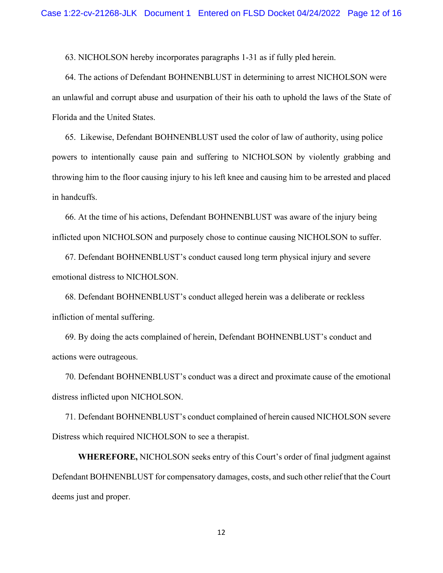63. NICHOLSON hereby incorporates paragraphs 1-31 as if fully pled herein.

64. The actions of Defendant BOHNENBLUST in determining to arrest NICHOLSON were an unlawful and corrupt abuse and usurpation of their his oath to uphold the laws of the State of Florida and the United States.

65. Likewise, Defendant BOHNENBLUST used the color of law of authority, using police powers to intentionally cause pain and suffering to NICHOLSON by violently grabbing and throwing him to the floor causing injury to his left knee and causing him to be arrested and placed in handcuffs.

66. At the time of his actions, Defendant BOHNENBLUST was aware of the injury being inflicted upon NICHOLSON and purposely chose to continue causing NICHOLSON to suffer.

67. Defendant BOHNENBLUST's conduct caused long term physical injury and severe emotional distress to NICHOLSON.

68. Defendant BOHNENBLUST's conduct alleged herein was a deliberate or reckless infliction of mental suffering.

69. By doing the acts complained of herein, Defendant BOHNENBLUST's conduct and actions were outrageous.

70. Defendant BOHNENBLUST's conduct was a direct and proximate cause of the emotional distress inflicted upon NICHOLSON.

71. Defendant BOHNENBLUST's conduct complained of herein caused NICHOLSON severe Distress which required NICHOLSON to see a therapist.

**WHEREFORE,** NICHOLSON seeks entry of this Court's order of final judgment against Defendant BOHNENBLUST for compensatory damages, costs, and such other relief that the Court deems just and proper.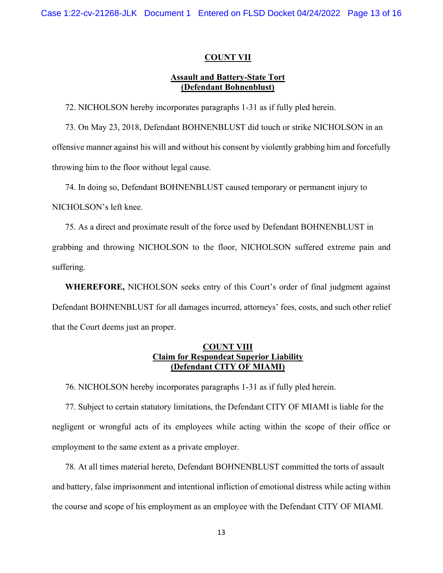### **COUNT VII**

## **Assault and Battery-State Tort (Defendant Bohnenblust)**

72. NICHOLSON hereby incorporates paragraphs 1-31 as if fully pled herein.

73. On May 23, 2018, Defendant BOHNENBLUST did touch or strike NICHOLSON in an offensive manner against his will and without his consent by violently grabbing him and forcefully throwing him to the floor without legal cause.

74. In doing so, Defendant BOHNENBLUST caused temporary or permanent injury to NICHOLSON's left knee.

75. As a direct and proximate result of the force used by Defendant BOHNENBLUST in grabbing and throwing NICHOLSON to the floor, NICHOLSON suffered extreme pain and suffering.

**WHEREFORE,** NICHOLSON seeks entry of this Court's order of final judgment against Defendant BOHNENBLUST for all damages incurred, attorneys' fees, costs, and such other relief that the Court deems just an proper.

## **COUNT VIII Claim for Respondeat Superior Liability (Defendant CITY OF MIAMI)**

76. NICHOLSON hereby incorporates paragraphs 1-31 as if fully pled herein.

77. Subject to certain statutory limitations, the Defendant CITY OF MIAMI is liable for the negligent or wrongful acts of its employees while acting within the scope of their office or employment to the same extent as a private employer.

78. At all times material hereto, Defendant BOHNENBLUST committed the torts of assault and battery, false imprisonment and intentional infliction of emotional distress while acting within the course and scope of his employment as an employee with the Defendant CITY OF MIAMI.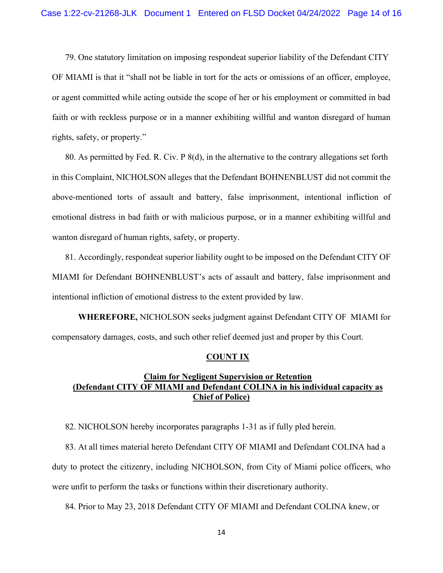79. One statutory limitation on imposing respondeat superior liability of the Defendant CITY OF MIAMI is that it "shall not be liable in tort for the acts or omissions of an officer, employee, or agent committed while acting outside the scope of her or his employment or committed in bad faith or with reckless purpose or in a manner exhibiting willful and wanton disregard of human rights, safety, or property."

80. As permitted by Fed. R. Civ. P 8(d), in the alternative to the contrary allegations set forth in this Complaint, NICHOLSON alleges that the Defendant BOHNENBLUST did not commit the above-mentioned torts of assault and battery, false imprisonment, intentional infliction of emotional distress in bad faith or with malicious purpose, or in a manner exhibiting willful and wanton disregard of human rights, safety, or property.

81. Accordingly, respondeat superior liability ought to be imposed on the Defendant CITY OF MIAMI for Defendant BOHNENBLUST's acts of assault and battery, false imprisonment and intentional infliction of emotional distress to the extent provided by law.

**WHEREFORE,** NICHOLSON seeks judgment against Defendant CITY OF MIAMI for compensatory damages, costs, and such other relief deemed just and proper by this Court.

#### **COUNT IX**

# **Claim for Negligent Supervision or Retention (Defendant CITY OF MIAMI and Defendant COLINA in his individual capacity as Chief of Police)**

82. NICHOLSON hereby incorporates paragraphs 1-31 as if fully pled herein.

83. At all times material hereto Defendant CITY OF MIAMI and Defendant COLINA had a duty to protect the citizenry, including NICHOLSON, from City of Miami police officers, who were unfit to perform the tasks or functions within their discretionary authority.

84. Prior to May 23, 2018 Defendant CITY OF MIAMI and Defendant COLINA knew, or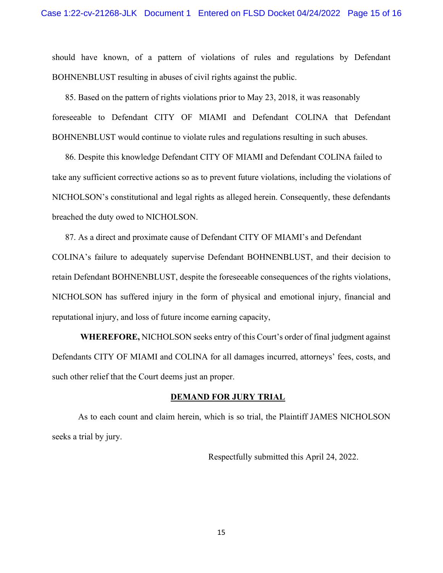should have known, of a pattern of violations of rules and regulations by Defendant BOHNENBLUST resulting in abuses of civil rights against the public.

85. Based on the pattern of rights violations prior to May 23, 2018, it was reasonably foreseeable to Defendant CITY OF MIAMI and Defendant COLINA that Defendant BOHNENBLUST would continue to violate rules and regulations resulting in such abuses.

86. Despite this knowledge Defendant CITY OF MIAMI and Defendant COLINA failed to take any sufficient corrective actions so as to prevent future violations, including the violations of NICHOLSON's constitutional and legal rights as alleged herein. Consequently, these defendants breached the duty owed to NICHOLSON.

87. As a direct and proximate cause of Defendant CITY OF MIAMI's and Defendant COLINA's failure to adequately supervise Defendant BOHNENBLUST, and their decision to retain Defendant BOHNENBLUST, despite the foreseeable consequences of the rights violations, NICHOLSON has suffered injury in the form of physical and emotional injury, financial and reputational injury, and loss of future income earning capacity,

 **WHEREFORE,** NICHOLSON seeks entry of this Court's order of final judgment against Defendants CITY OF MIAMI and COLINA for all damages incurred, attorneys' fees, costs, and such other relief that the Court deems just an proper.

### **DEMAND FOR JURY TRIAL**

 As to each count and claim herein, which is so trial, the Plaintiff JAMES NICHOLSON seeks a trial by jury.

Respectfully submitted this April 24, 2022.